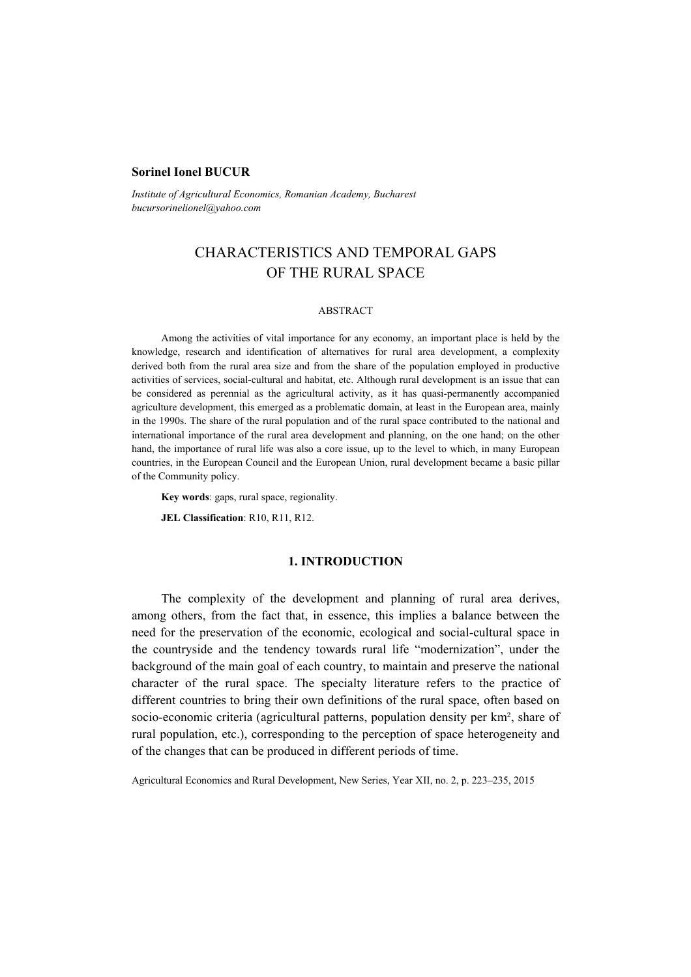## **Sorinel Ionel BUCUR**

*Institute of Agricultural Economics, Romanian Academy, Bucharest bucursorinelionel@yahoo.com* 

# CHARACTERISTICS AND TEMPORAL GAPS OF THE RURAL SPACE

## ABSTRACT

Among the activities of vital importance for any economy, an important place is held by the knowledge, research and identification of alternatives for rural area development, a complexity derived both from the rural area size and from the share of the population employed in productive activities of services, social-cultural and habitat, etc. Although rural development is an issue that can be considered as perennial as the agricultural activity, as it has quasi-permanently accompanied agriculture development, this emerged as a problematic domain, at least in the European area, mainly in the 1990s. The share of the rural population and of the rural space contributed to the national and international importance of the rural area development and planning, on the one hand; on the other hand, the importance of rural life was also a core issue, up to the level to which, in many European countries, in the European Council and the European Union, rural development became a basic pillar of the Community policy.

**Key words**: gaps, rural space, regionality.

**JEL Classification**: R10, R11, R12.

## **1. INTRODUCTION**

The complexity of the development and planning of rural area derives, among others, from the fact that, in essence, this implies a balance between the need for the preservation of the economic, ecological and social-cultural space in the countryside and the tendency towards rural life "modernization", under the background of the main goal of each country, to maintain and preserve the national character of the rural space. The specialty literature refers to the practice of different countries to bring their own definitions of the rural space, often based on socio-economic criteria (agricultural patterns, population density per km², share of rural population, etc.), corresponding to the perception of space heterogeneity and of the changes that can be produced in different periods of time.

Agricultural Economics and Rural Development, New Series, Year XII, no. 2, p. 223–235, 2015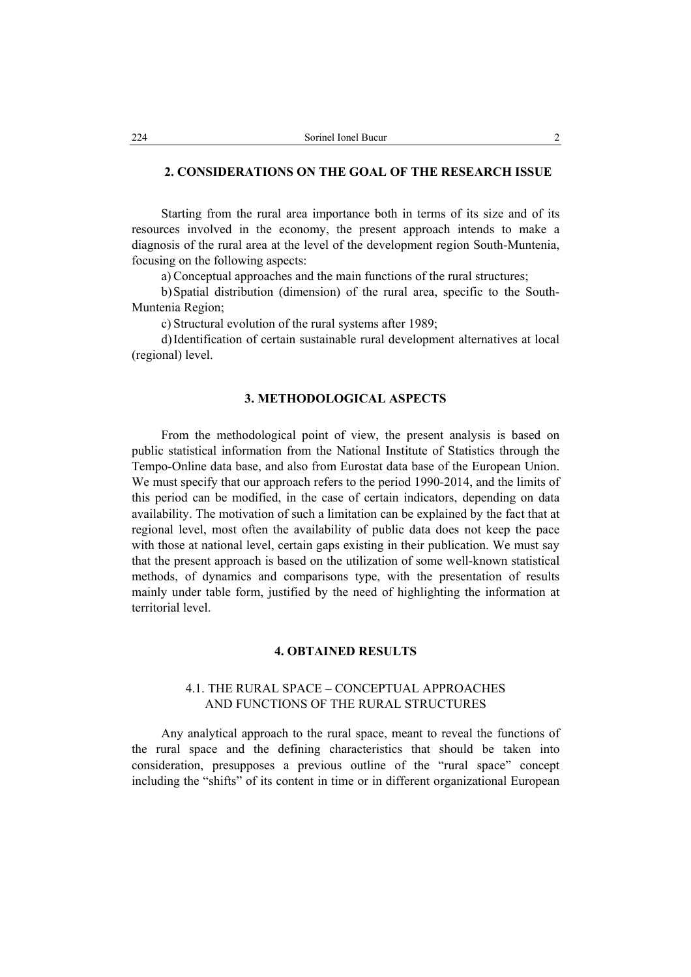## **2. CONSIDERATIONS ON THE GOAL OF THE RESEARCH ISSUE**

Starting from the rural area importance both in terms of its size and of its resources involved in the economy, the present approach intends to make a diagnosis of the rural area at the level of the development region South-Muntenia, focusing on the following aspects:

a) Conceptual approaches and the main functions of the rural structures;

b)Spatial distribution (dimension) of the rural area, specific to the South-Muntenia Region;

c) Structural evolution of the rural systems after 1989;

d)Identification of certain sustainable rural development alternatives at local (regional) level.

## **3. METHODOLOGICAL ASPECTS**

From the methodological point of view, the present analysis is based on public statistical information from the National Institute of Statistics through the Tempo-Online data base, and also from Eurostat data base of the European Union. We must specify that our approach refers to the period 1990-2014, and the limits of this period can be modified, in the case of certain indicators, depending on data availability. The motivation of such a limitation can be explained by the fact that at regional level, most often the availability of public data does not keep the pace with those at national level, certain gaps existing in their publication. We must say that the present approach is based on the utilization of some well-known statistical methods, of dynamics and comparisons type, with the presentation of results mainly under table form, justified by the need of highlighting the information at territorial level.

#### **4. OBTAINED RESULTS**

# 4.1. THE RURAL SPACE – CONCEPTUAL APPROACHES AND FUNCTIONS OF THE RURAL STRUCTURES

Any analytical approach to the rural space, meant to reveal the functions of the rural space and the defining characteristics that should be taken into consideration, presupposes a previous outline of the "rural space" concept including the "shifts" of its content in time or in different organizational European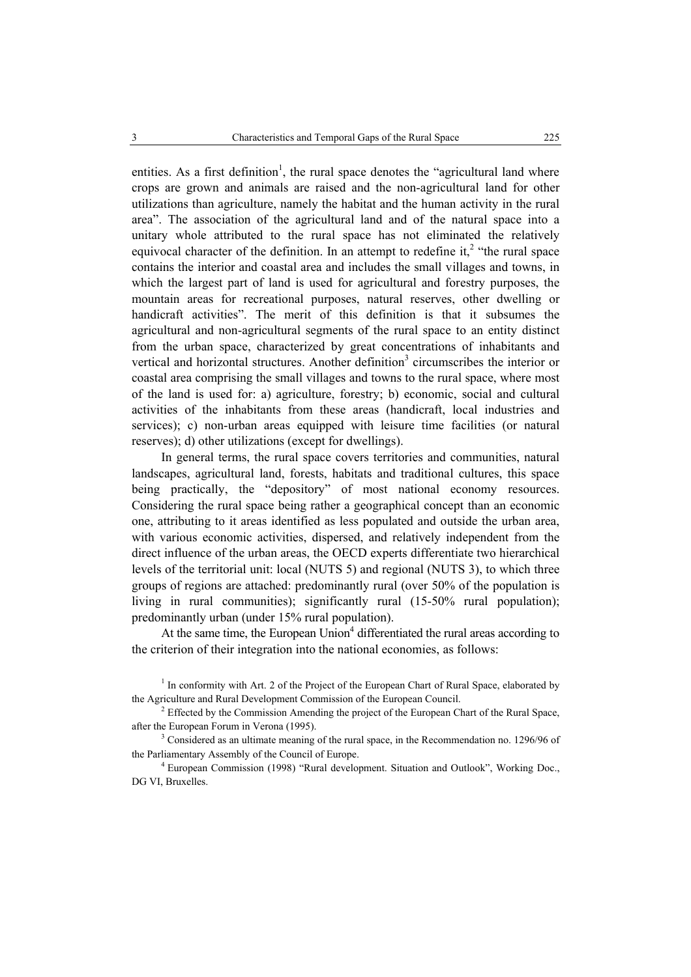entities. As a first definition<sup>1</sup>, the rural space denotes the "agricultural land where crops are grown and animals are raised and the non-agricultural land for other utilizations than agriculture, namely the habitat and the human activity in the rural area". The association of the agricultural land and of the natural space into a unitary whole attributed to the rural space has not eliminated the relatively equivocal character of the definition. In an attempt to redefine it,<sup>2</sup> "the rural space contains the interior and coastal area and includes the small villages and towns, in which the largest part of land is used for agricultural and forestry purposes, the mountain areas for recreational purposes, natural reserves, other dwelling or handicraft activities". The merit of this definition is that it subsumes the agricultural and non-agricultural segments of the rural space to an entity distinct from the urban space, characterized by great concentrations of inhabitants and vertical and horizontal structures. Another definition<sup>3</sup> circumscribes the interior or coastal area comprising the small villages and towns to the rural space, where most of the land is used for: a) agriculture, forestry; b) economic, social and cultural activities of the inhabitants from these areas (handicraft, local industries and services); c) non-urban areas equipped with leisure time facilities (or natural reserves); d) other utilizations (except for dwellings).

In general terms, the rural space covers territories and communities, natural landscapes, agricultural land, forests, habitats and traditional cultures, this space being practically, the "depository" of most national economy resources. Considering the rural space being rather a geographical concept than an economic one, attributing to it areas identified as less populated and outside the urban area, with various economic activities, dispersed, and relatively independent from the direct influence of the urban areas, the OECD experts differentiate two hierarchical levels of the territorial unit: local (NUTS 5) and regional (NUTS 3), to which three groups of regions are attached: predominantly rural (over 50% of the population is living in rural communities); significantly rural (15-50% rural population); predominantly urban (under 15% rural population).

At the same time, the European Union $4$  differentiated the rural areas according to the criterion of their integration into the national economies, as follows:

 $<sup>1</sup>$  In conformity with Art. 2 of the Project of the European Chart of Rural Space, elaborated by</sup> the Agriculture and Rural Development Commission of the European Council. 2

 $2$  Effected by the Commission Amending the project of the European Chart of the Rural Space, after the European Forum in Verona (1995).

<sup>&</sup>lt;sup>3</sup> Considered as an ultimate meaning of the rural space, in the Recommendation no. 1296/96 of the Parliamentary Assembly of the Council of Europe. 4

European Commission (1998) "Rural development. Situation and Outlook", Working Doc., DG VI, Bruxelles.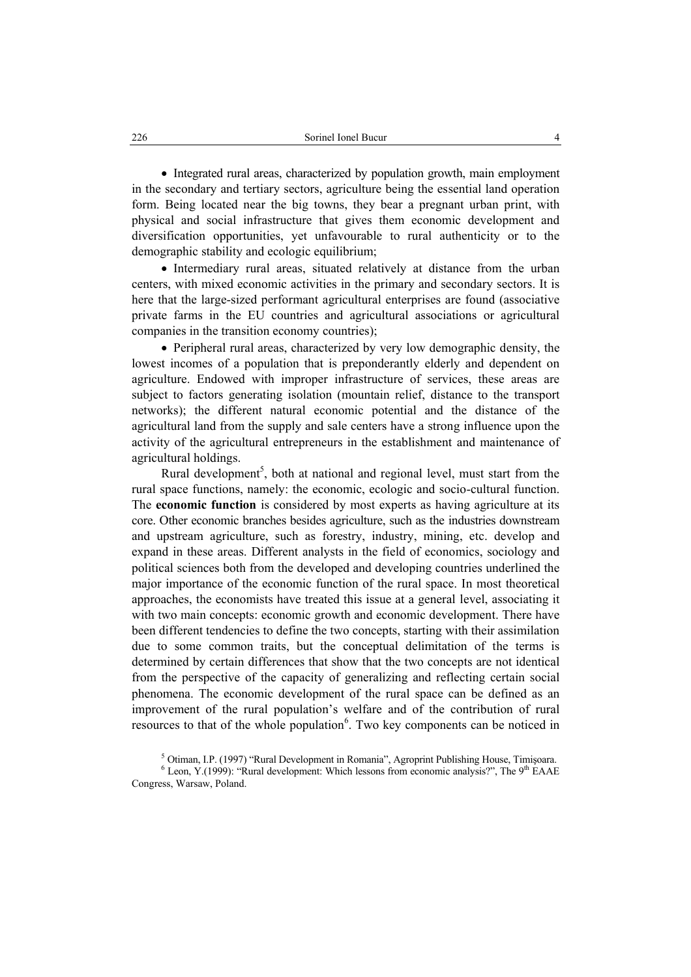• Integrated rural areas, characterized by population growth, main employment in the secondary and tertiary sectors, agriculture being the essential land operation form. Being located near the big towns, they bear a pregnant urban print, with physical and social infrastructure that gives them economic development and diversification opportunities, yet unfavourable to rural authenticity or to the demographic stability and ecologic equilibrium;

• Intermediary rural areas, situated relatively at distance from the urban centers, with mixed economic activities in the primary and secondary sectors. It is here that the large-sized performant agricultural enterprises are found (associative private farms in the EU countries and agricultural associations or agricultural companies in the transition economy countries);

• Peripheral rural areas, characterized by very low demographic density, the lowest incomes of a population that is preponderantly elderly and dependent on agriculture. Endowed with improper infrastructure of services, these areas are subject to factors generating isolation (mountain relief, distance to the transport networks); the different natural economic potential and the distance of the agricultural land from the supply and sale centers have a strong influence upon the activity of the agricultural entrepreneurs in the establishment and maintenance of agricultural holdings.

Rural development<sup>5</sup>, both at national and regional level, must start from the rural space functions, namely: the economic, ecologic and socio-cultural function. The **economic function** is considered by most experts as having agriculture at its core. Other economic branches besides agriculture, such as the industries downstream and upstream agriculture, such as forestry, industry, mining, etc. develop and expand in these areas. Different analysts in the field of economics, sociology and political sciences both from the developed and developing countries underlined the major importance of the economic function of the rural space. In most theoretical approaches, the economists have treated this issue at a general level, associating it with two main concepts: economic growth and economic development. There have been different tendencies to define the two concepts, starting with their assimilation due to some common traits, but the conceptual delimitation of the terms is determined by certain differences that show that the two concepts are not identical from the perspective of the capacity of generalizing and reflecting certain social phenomena. The economic development of the rural space can be defined as an improvement of the rural population's welfare and of the contribution of rural resources to that of the whole population $6$ . Two key components can be noticed in

 $6$  Leon, Y.(1999): "Rural development: Which lessons from economic analysis?", The 9<sup>th</sup> EAAE Congress, Warsaw, Poland.

<sup>&</sup>lt;sup>5</sup> Otiman, I.P. (1997) "Rural Development in Romania", Agroprint Publishing House, Timișoara.<br><sup>6</sup> Leon X (1000): "Pural development: Which Jessons from economic apelucie?", The 0<sup>th</sup> EAAE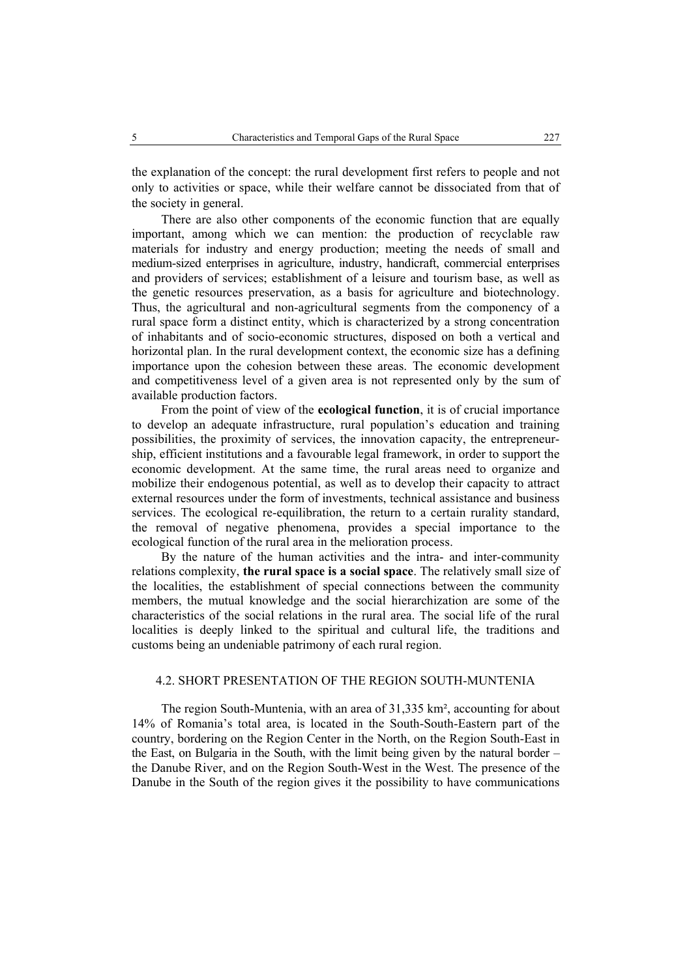the explanation of the concept: the rural development first refers to people and not only to activities or space, while their welfare cannot be dissociated from that of the society in general.

There are also other components of the economic function that are equally important, among which we can mention: the production of recyclable raw materials for industry and energy production; meeting the needs of small and medium-sized enterprises in agriculture, industry, handicraft, commercial enterprises and providers of services; establishment of a leisure and tourism base, as well as the genetic resources preservation, as a basis for agriculture and biotechnology. Thus, the agricultural and non-agricultural segments from the componency of a rural space form a distinct entity, which is characterized by a strong concentration of inhabitants and of socio-economic structures, disposed on both a vertical and horizontal plan. In the rural development context, the economic size has a defining importance upon the cohesion between these areas. The economic development and competitiveness level of a given area is not represented only by the sum of available production factors.

From the point of view of the **ecological function**, it is of crucial importance to develop an adequate infrastructure, rural population's education and training possibilities, the proximity of services, the innovation capacity, the entrepreneurship, efficient institutions and a favourable legal framework, in order to support the economic development. At the same time, the rural areas need to organize and mobilize their endogenous potential, as well as to develop their capacity to attract external resources under the form of investments, technical assistance and business services. The ecological re-equilibration, the return to a certain rurality standard, the removal of negative phenomena, provides a special importance to the ecological function of the rural area in the melioration process.

By the nature of the human activities and the intra- and inter-community relations complexity, **the rural space is a social space**. The relatively small size of the localities, the establishment of special connections between the community members, the mutual knowledge and the social hierarchization are some of the characteristics of the social relations in the rural area. The social life of the rural localities is deeply linked to the spiritual and cultural life, the traditions and customs being an undeniable patrimony of each rural region.

## 4.2. SHORT PRESENTATION OF THE REGION SOUTH-MUNTENIA

The region South-Muntenia, with an area of 31,335 km², accounting for about 14% of Romania's total area, is located in the South-South-Eastern part of the country, bordering on the Region Center in the North, on the Region South-East in the East, on Bulgaria in the South, with the limit being given by the natural border – the Danube River, and on the Region South-West in the West. The presence of the Danube in the South of the region gives it the possibility to have communications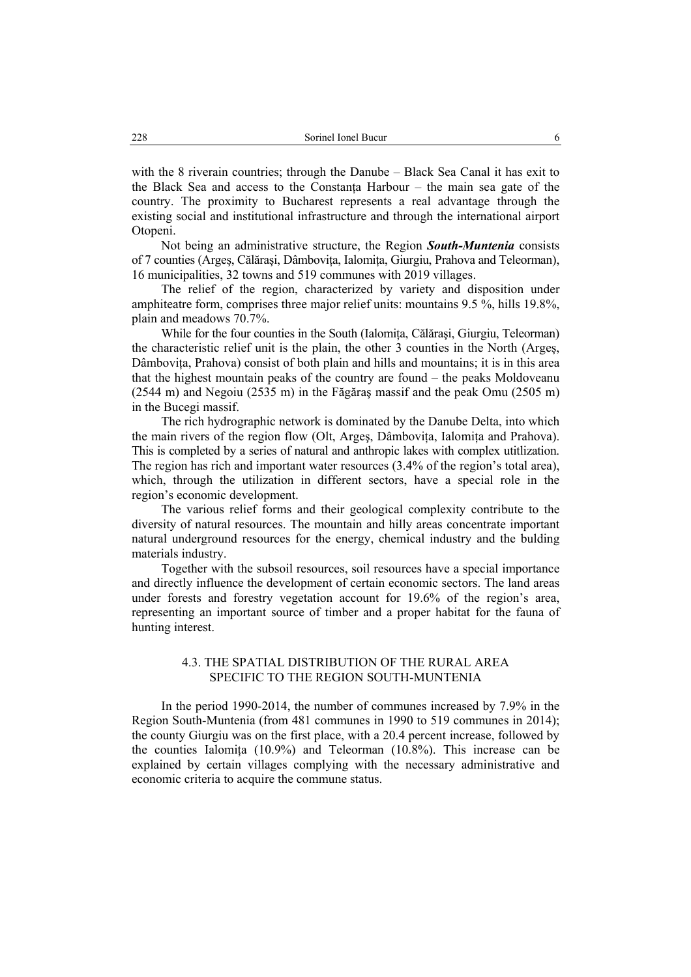with the 8 riverain countries; through the Danube – Black Sea Canal it has exit to the Black Sea and access to the Constanţa Harbour – the main sea gate of the country. The proximity to Bucharest represents a real advantage through the existing social and institutional infrastructure and through the international airport Otopeni.

Not being an administrative structure, the Region *South-Muntenia* consists of 7 counties (Argeş, Călăraşi, Dâmboviţa, Ialomiţa, Giurgiu, Prahova and Teleorman), 16 municipalities, 32 towns and 519 communes with 2019 villages.

The relief of the region, characterized by variety and disposition under amphiteatre form, comprises three major relief units: mountains 9.5 %, hills 19.8%, plain and meadows 70.7%.

While for the four counties in the South (Ialomiţa, Călăraşi, Giurgiu, Teleorman) the characteristic relief unit is the plain, the other 3 counties in the North (Argeş, Dâmbovita, Prahova) consist of both plain and hills and mountains; it is in this area that the highest mountain peaks of the country are found – the peaks Moldoveanu (2544 m) and Negoiu (2535 m) in the Făgăraş massif and the peak Omu (2505 m) in the Bucegi massif.

The rich hydrographic network is dominated by the Danube Delta, into which the main rivers of the region flow (Olt, Argeş, Dâmboviţa, Ialomiţa and Prahova). This is completed by a series of natural and anthropic lakes with complex utitlization. The region has rich and important water resources (3.4% of the region's total area), which, through the utilization in different sectors, have a special role in the region's economic development.

The various relief forms and their geological complexity contribute to the diversity of natural resources. The mountain and hilly areas concentrate important natural underground resources for the energy, chemical industry and the bulding materials industry.

Together with the subsoil resources, soil resources have a special importance and directly influence the development of certain economic sectors. The land areas under forests and forestry vegetation account for 19.6% of the region's area, representing an important source of timber and a proper habitat for the fauna of hunting interest.

## 4.3. THE SPATIAL DISTRIBUTION OF THE RURAL AREA SPECIFIC TO THE REGION SOUTH-MUNTENIA

In the period 1990-2014, the number of communes increased by 7.9% in the Region South-Muntenia (from 481 communes in 1990 to 519 communes in 2014); the county Giurgiu was on the first place, with a 20.4 percent increase, followed by the counties Ialomiţa (10.9%) and Teleorman (10.8%). This increase can be explained by certain villages complying with the necessary administrative and economic criteria to acquire the commune status.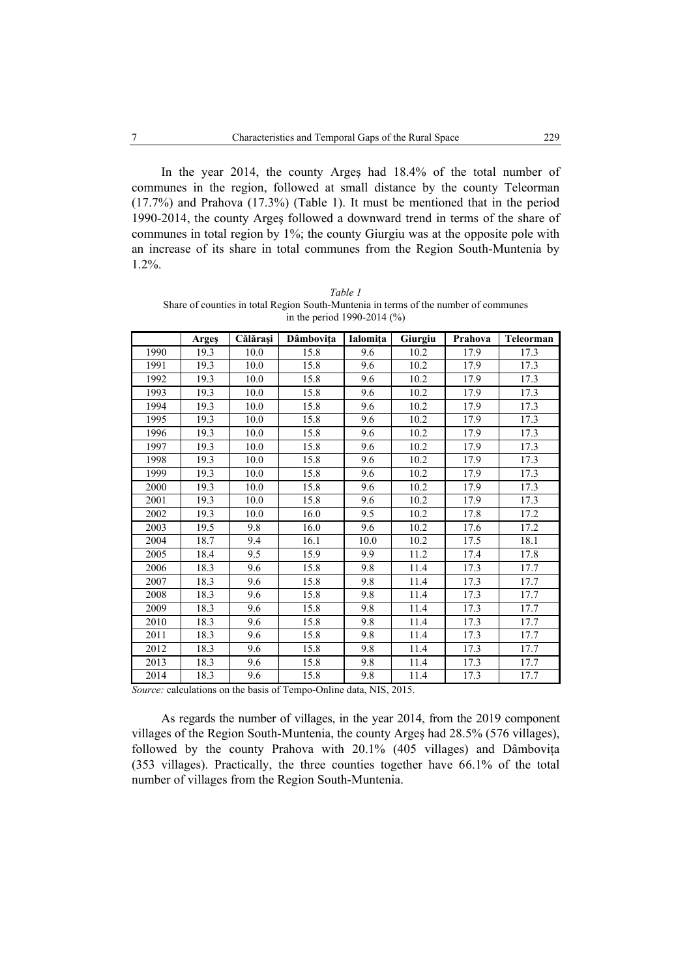In the year 2014, the county Argeş had 18.4% of the total number of communes in the region, followed at small distance by the county Teleorman (17.7%) and Prahova (17.3%) (Table 1). It must be mentioned that in the period 1990-2014, the county Argeş followed a downward trend in terms of the share of communes in total region by 1%; the county Giurgiu was at the opposite pole with an increase of its share in total communes from the Region South-Muntenia by 1.2%.

|      | Argeş | Călărași | Dâmbovița | Ialomița | Giurgiu | Prahova | Teleorman |
|------|-------|----------|-----------|----------|---------|---------|-----------|
| 1990 | 19.3  | 10.0     | 15.8      | 9.6      | 10.2    | 17.9    | 17.3      |
| 1991 | 19.3  | 10.0     | 15.8      | 9.6      | 10.2    | 17.9    | 17.3      |
| 1992 | 19.3  | 10.0     | 15.8      | 9.6      | 10.2    | 17.9    | 17.3      |
| 1993 | 19.3  | 10.0     | 15.8      | 9.6      | 10.2    | 17.9    | 17.3      |
| 1994 | 19.3  | 10.0     | 15.8      | 9.6      | 10.2    | 17.9    | 17.3      |
| 1995 | 19.3  | 10.0     | 15.8      | 9.6      | 10.2    | 17.9    | 17.3      |
| 1996 | 19.3  | 10.0     | 15.8      | 9.6      | 10.2    | 17.9    | 17.3      |
| 1997 | 19.3  | 10.0     | 15.8      | 9.6      | 10.2    | 17.9    | 17.3      |
| 1998 | 19.3  | 10.0     | 15.8      | 9.6      | 10.2    | 17.9    | 17.3      |
| 1999 | 19.3  | 10.0     | 15.8      | 9.6      | 10.2    | 17.9    | 17.3      |
| 2000 | 19.3  | 10.0     | 15.8      | 9.6      | 10.2    | 17.9    | 17.3      |
| 2001 | 19.3  | 10.0     | 15.8      | 9.6      | 10.2    | 17.9    | 17.3      |
| 2002 | 19.3  | 10.0     | 16.0      | 9.5      | 10.2    | 17.8    | 17.2      |
| 2003 | 19.5  | 9.8      | 16.0      | 9.6      | 10.2    | 17.6    | 17.2      |
| 2004 | 18.7  | 9.4      | 16.1      | 10.0     | 10.2    | 17.5    | 18.1      |
| 2005 | 18.4  | 9.5      | 15.9      | 9.9      | 11.2    | 17.4    | 17.8      |
| 2006 | 18.3  | 9.6      | 15.8      | 9.8      | 11.4    | 17.3    | 17.7      |
| 2007 | 18.3  | 9.6      | 15.8      | 9.8      | 11.4    | 17.3    | 17.7      |
| 2008 | 18.3  | 9.6      | 15.8      | 9.8      | 11.4    | 17.3    | 17.7      |
| 2009 | 18.3  | 9.6      | 15.8      | 9.8      | 11.4    | 17.3    | 17.7      |
| 2010 | 18.3  | 9.6      | 15.8      | 9.8      | 11.4    | 17.3    | 17.7      |
| 2011 | 18.3  | 9.6      | 15.8      | 9.8      | 11.4    | 17.3    | 17.7      |
| 2012 | 18.3  | 9.6      | 15.8      | 9.8      | 11.4    | 17.3    | 17.7      |
| 2013 | 18.3  | 9.6      | 15.8      | 9.8      | 11.4    | 17.3    | 17.7      |
| 2014 | 18.3  | 9.6      | 15.8      | 9.8      | 11.4    | 17.3    | 17.7      |

*Table 1*  Share of counties in total Region South-Muntenia in terms of the number of communes in the period 1990-2014 (%)

*Source:* calculations on the basis of Tempo-Online data, NIS, 2015.

As regards the number of villages, in the year 2014, from the 2019 component villages of the Region South-Muntenia, the county Argeş had 28.5% (576 villages), followed by the county Prahova with 20.1% (405 villages) and Dâmbovita (353 villages). Practically, the three counties together have 66.1% of the total number of villages from the Region South-Muntenia.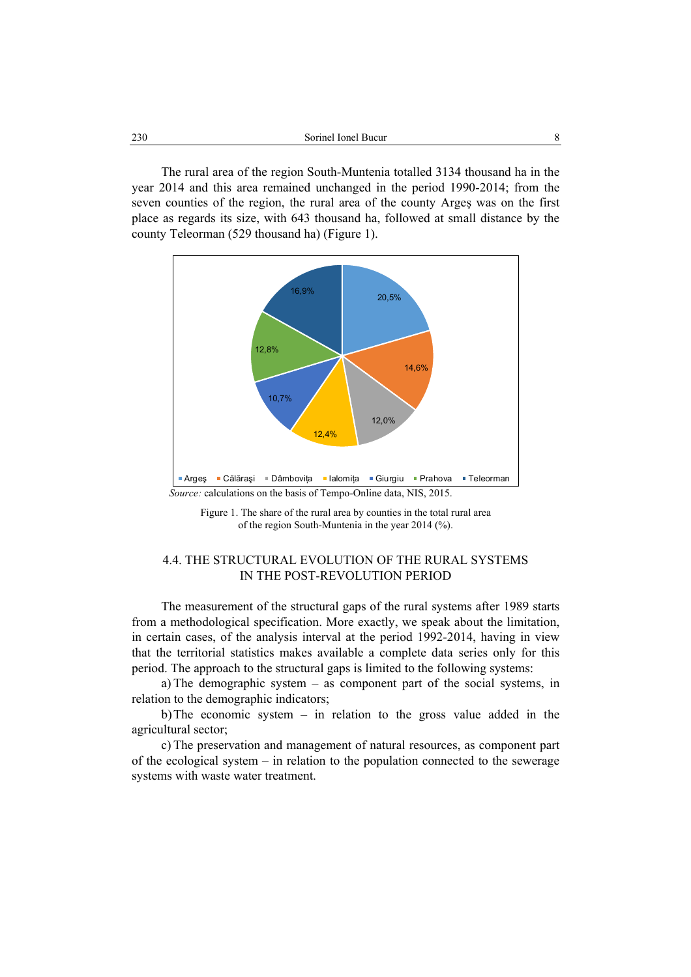The rural area of the region South-Muntenia totalled 3134 thousand ha in the year 2014 and this area remained unchanged in the period 1990-2014; from the seven counties of the region, the rural area of the county Argeş was on the first place as regards its size, with 643 thousand ha, followed at small distance by the county Teleorman (529 thousand ha) (Figure 1).



Figure 1. The share of the rural area by counties in the total rural area of the region South-Muntenia in the year 2014 (%).

# 4.4. THE STRUCTURAL EVOLUTION OF THE RURAL SYSTEMS IN THE POST-REVOLUTION PERIOD

The measurement of the structural gaps of the rural systems after 1989 starts from a methodological specification. More exactly, we speak about the limitation, in certain cases, of the analysis interval at the period 1992-2014, having in view that the territorial statistics makes available a complete data series only for this period. The approach to the structural gaps is limited to the following systems:

a) The demographic system – as component part of the social systems, in relation to the demographic indicators;

b)The economic system – in relation to the gross value added in the agricultural sector;

c) The preservation and management of natural resources, as component part of the ecological system – in relation to the population connected to the sewerage systems with waste water treatment.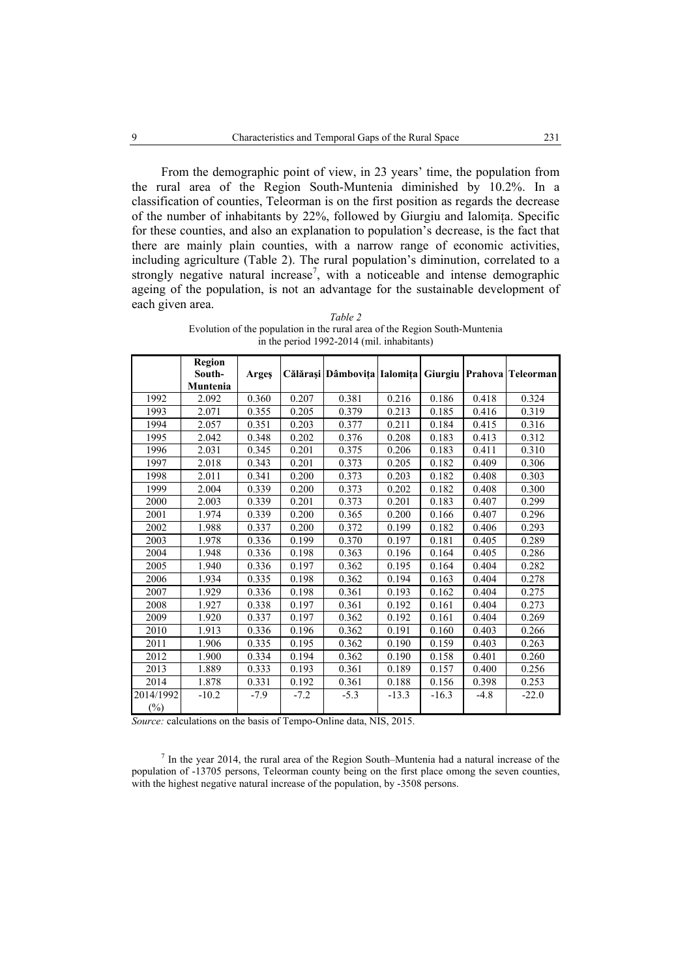From the demographic point of view, in 23 years' time, the population from the rural area of the Region South-Muntenia diminished by 10.2%. In a classification of counties, Teleorman is on the first position as regards the decrease of the number of inhabitants by 22%, followed by Giurgiu and Ialomiţa. Specific for these counties, and also an explanation to population's decrease, is the fact that there are mainly plain counties, with a narrow range of economic activities, including agriculture (Table 2). The rural population's diminution, correlated to a strongly negative natural increase<sup>7</sup>, with a noticeable and intense demographic ageing of the population, is not an advantage for the sustainable development of each given area.

|           | Region<br>South-<br>Muntenia | Arges  |        | Călărași Dâmbovița Ialomița |         |         |        | Giurgiu   Prahova   Teleorman |
|-----------|------------------------------|--------|--------|-----------------------------|---------|---------|--------|-------------------------------|
| 1992      | 2.092                        | 0.360  | 0.207  | 0.381                       | 0.216   | 0.186   | 0.418  | 0.324                         |
| 1993      | 2.071                        | 0.355  | 0.205  | 0.379                       | 0.213   | 0.185   | 0.416  | 0.319                         |
| 1994      | 2.057                        | 0.351  | 0.203  | 0.377                       | 0.211   | 0.184   | 0.415  | 0.316                         |
| 1995      | 2.042                        | 0.348  | 0.202  | 0.376                       | 0.208   | 0.183   | 0.413  | 0.312                         |
| 1996      | 2.031                        | 0.345  | 0.201  | 0.375                       | 0.206   | 0.183   | 0.411  | 0.310                         |
| 1997      | 2.018                        | 0.343  | 0.201  | 0.373                       | 0.205   | 0.182   | 0.409  | 0.306                         |
| 1998      | 2.011                        | 0.341  | 0.200  | 0.373                       | 0.203   | 0.182   | 0.408  | 0.303                         |
| 1999      | 2.004                        | 0.339  | 0.200  | 0.373                       | 0.202   | 0.182   | 0.408  | 0.300                         |
| 2000      | 2.003                        | 0.339  | 0.201  | 0.373                       | 0.201   | 0.183   | 0.407  | 0.299                         |
| 2001      | 1.974                        | 0.339  | 0.200  | 0.365                       | 0.200   | 0.166   | 0.407  | 0.296                         |
| 2002      | 1.988                        | 0.337  | 0.200  | 0.372                       | 0.199   | 0.182   | 0.406  | 0.293                         |
| 2003      | 1.978                        | 0.336  | 0.199  | 0.370                       | 0.197   | 0.181   | 0.405  | 0.289                         |
| 2004      | 1.948                        | 0.336  | 0.198  | 0.363                       | 0.196   | 0.164   | 0.405  | 0.286                         |
| 2005      | 1.940                        | 0.336  | 0.197  | 0.362                       | 0.195   | 0.164   | 0.404  | 0.282                         |
| 2006      | 1.934                        | 0.335  | 0.198  | 0.362                       | 0.194   | 0.163   | 0.404  | 0.278                         |
| 2007      | 1.929                        | 0.336  | 0.198  | 0.361                       | 0.193   | 0.162   | 0.404  | 0.275                         |
| 2008      | 1.927                        | 0.338  | 0.197  | 0.361                       | 0.192   | 0.161   | 0.404  | 0.273                         |
| 2009      | 1.920                        | 0.337  | 0.197  | 0.362                       | 0.192   | 0.161   | 0.404  | 0.269                         |
| 2010      | 1.913                        | 0.336  | 0.196  | 0.362                       | 0.191   | 0.160   | 0.403  | 0.266                         |
| 2011      | 1.906                        | 0.335  | 0.195  | 0.362                       | 0.190   | 0.159   | 0.403  | 0.263                         |
| 2012      | 1.900                        | 0.334  | 0.194  | 0.362                       | 0.190   | 0.158   | 0.401  | 0.260                         |
| 2013      | 1.889                        | 0.333  | 0.193  | 0.361                       | 0.189   | 0.157   | 0.400  | 0.256                         |
| 2014      | 1.878                        | 0.331  | 0.192  | 0.361                       | 0.188   | 0.156   | 0.398  | 0.253                         |
| 2014/1992 | $-10.2$                      | $-7.9$ | $-7.2$ | $-5.3$                      | $-13.3$ | $-16.3$ | $-4.8$ | $-22.0$                       |
| $(\%)$    |                              |        |        |                             |         |         |        |                               |

*Table 2*  Evolution of the population in the rural area of the Region South-Muntenia in the period 1992-2014 (mil. inhabitants)

*Source:* calculations on the basis of Tempo-Online data, NIS, 2015.

 $<sup>7</sup>$  In the year 2014, the rural area of the Region South–Muntenia had a natural increase of the</sup> population of -13705 persons, Teleorman county being on the first place omong the seven counties, with the highest negative natural increase of the population, by -3508 persons.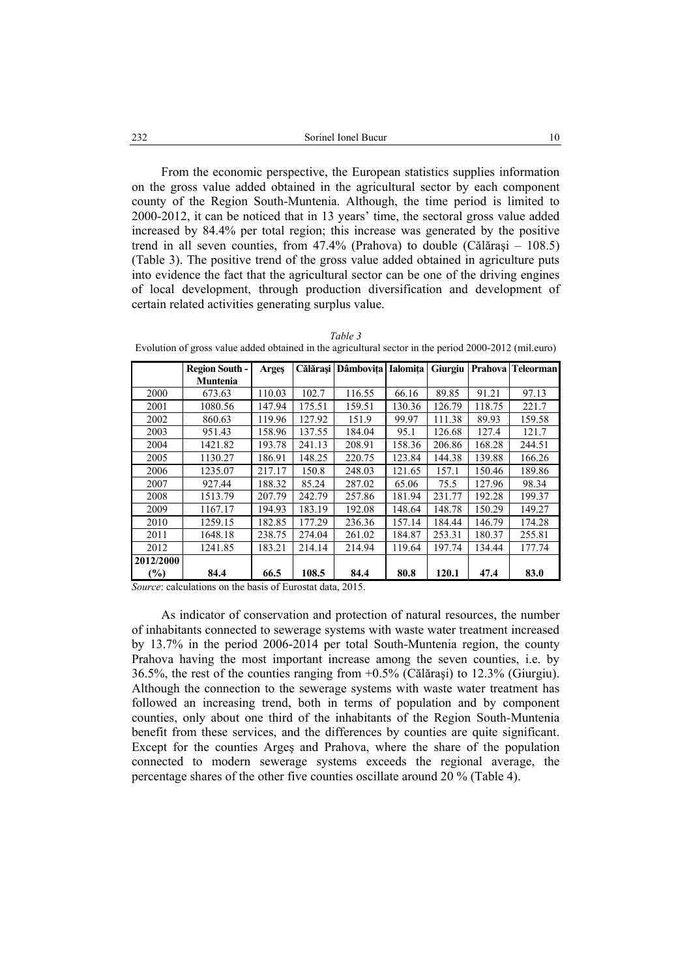From the economic perspective, the European statistics supplies information on the gross value added obtained in the agricultural sector by each component county of the Region South-Muntenia. Although, the time period is limited to 2000-2012, it can be noticed that in 13 years' time, the sectoral gross value added increased by 84.4% per total region; this increase was generated by the positive trend in all seven counties, from 47.4% (Prahova) to double (Călăraşi – 108.5) (Table 3). The positive trend of the gross value added obtained in agriculture puts into evidence the fact that the agricultural sector can be one of the driving engines of local development, through production diversification and development of certain related activities generating surplus value.

| Evolution of gross value added obtained in the agricultural sector in the period 2000-2012 (film.curo) |                       |              |        |                             |        |        |        |                               |  |
|--------------------------------------------------------------------------------------------------------|-----------------------|--------------|--------|-----------------------------|--------|--------|--------|-------------------------------|--|
|                                                                                                        | <b>Region South -</b> | <b>Arges</b> |        | Călărasi Dâmbovita Ialomita |        |        |        | Giurgiu   Prahova   Teleorman |  |
|                                                                                                        | <b>Muntenia</b>       |              |        |                             |        |        |        |                               |  |
| 2000                                                                                                   | 673.63                | 110.03       | 102.7  | 116.55                      | 66.16  | 89.85  | 91.21  | 97.13                         |  |
| 2001                                                                                                   | 1080.56               | 147.94       | 175.51 | 159.51                      | 130.36 | 126.79 | 118.75 | 221.7                         |  |
| 2002                                                                                                   | 860.63                | 119.96       | 127.92 | 151.9                       | 99.97  | 111.38 | 89.93  | 159.58                        |  |
| 2003                                                                                                   | 951.43                | 158.96       | 137.55 | 184.04                      | 95.1   | 126.68 | 127.4  | 121.7                         |  |
| 2004                                                                                                   | 1421.82               | 193.78       | 241.13 | 208.91                      | 158.36 | 206.86 | 168.28 | 244.51                        |  |
| 2005                                                                                                   | 1130.27               | 186.91       | 148.25 | 220.75                      | 123.84 | 144.38 | 139.88 | 166.26                        |  |
| 2006                                                                                                   | 1235.07               | 217.17       | 150.8  | 248.03                      | 121.65 | 157.1  | 150.46 | 189.86                        |  |
| 2007                                                                                                   | 927.44                | 188.32       | 85.24  | 287.02                      | 65.06  | 75.5   | 127.96 | 98.34                         |  |
| 2008                                                                                                   | 1513.79               | 207.79       | 242.79 | 257.86                      | 181.94 | 231.77 | 192.28 | 199.37                        |  |
| 2009                                                                                                   | 1167.17               | 194.93       | 183.19 | 192.08                      | 148.64 | 148.78 | 150.29 | 149.27                        |  |
| 2010                                                                                                   | 1259.15               | 182.85       | 177.29 | 236.36                      | 157.14 | 184.44 | 146.79 | 174.28                        |  |
| 2011                                                                                                   | 1648.18               | 238.75       | 274.04 | 261.02                      | 184.87 | 253.31 | 180.37 | 255.81                        |  |
| 2012                                                                                                   | 1241.85               | 183.21       | 214.14 | 214.94                      | 119.64 | 197.74 | 134.44 | 177.74                        |  |
| 2012/2000                                                                                              |                       |              |        |                             |        |        |        |                               |  |
| $(\%)$                                                                                                 | 84.4                  | 66.5         | 108.5  | 84.4                        | 80.8   | 120.1  | 47.4   | 83.0                          |  |

*Table 3*  Evolution of gross value added obtained in the agricultural sector in the period 2000-2012 (mil.euro)

*Source*: calculations on the basis of Eurostat data, 2015.

As indicator of conservation and protection of natural resources, the number of inhabitants connected to sewerage systems with waste water treatment increased by 13.7% in the period 2006-2014 per total South-Muntenia region, the county Prahova having the most important increase among the seven counties, i.e. by 36.5%, the rest of the counties ranging from +0.5% (Călăraşi) to 12.3% (Giurgiu). Although the connection to the sewerage systems with waste water treatment has followed an increasing trend, both in terms of population and by component counties, only about one third of the inhabitants of the Region South-Muntenia benefit from these services, and the differences by counties are quite significant. Except for the counties Argeş and Prahova, where the share of the population connected to modern sewerage systems exceeds the regional average, the percentage shares of the other five counties oscillate around 20 % (Table 4).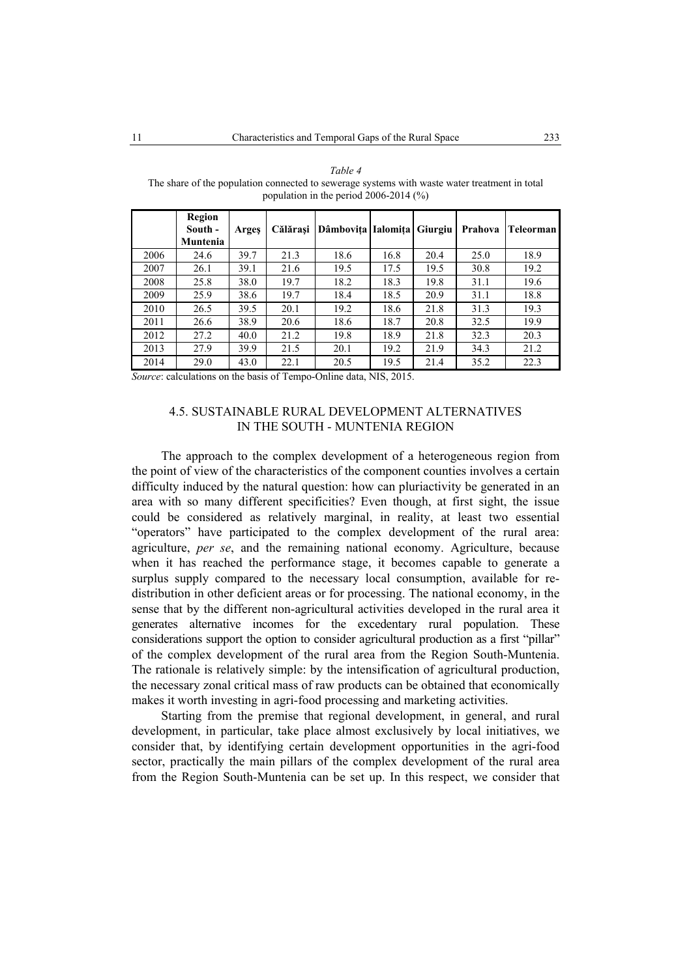|      | Region<br>South -<br>Muntenia | Arges | Călărași | Dâmbovița Ialomița Giurgiu |      |      | Prahova | Teleorman |
|------|-------------------------------|-------|----------|----------------------------|------|------|---------|-----------|
| 2006 | 24.6                          | 39.7  | 21.3     | 18.6                       | 16.8 | 20.4 | 25.0    | 18.9      |
| 2007 | 26.1                          | 39.1  | 21.6     | 19.5                       | 17.5 | 19.5 | 30.8    | 19.2      |
| 2008 | 25.8                          | 38.0  | 19.7     | 18.2                       | 18.3 | 19.8 | 31.1    | 19.6      |
| 2009 | 25.9                          | 38.6  | 19.7     | 18.4                       | 18.5 | 20.9 | 31.1    | 18.8      |
| 2010 | 26.5                          | 39.5  | 20.1     | 19.2                       | 18.6 | 21.8 | 31.3    | 19.3      |
| 2011 | 26.6                          | 38.9  | 20.6     | 18.6                       | 18.7 | 20.8 | 32.5    | 19.9      |
| 2012 | 27.2                          | 40.0  | 21.2     | 19.8                       | 18.9 | 21.8 | 32.3    | 20.3      |
| 2013 | 27.9                          | 39.9  | 21.5     | 20.1                       | 19.2 | 21.9 | 34.3    | 21.2      |
| 2014 | 29.0                          | 43.0  | 22.1     | 20.5                       | 19.5 | 21.4 | 35.2    | 22.3      |

*Table 4*  The share of the population connected to sewerage systems with waste water treatment in total population in the period 2006-2014 (%)

*Source*: calculations on the basis of Tempo-Online data, NIS, 2015.

# 4.5. SUSTAINABLE RURAL DEVELOPMENT ALTERNATIVES IN THE SOUTH - MUNTENIA REGION

The approach to the complex development of a heterogeneous region from the point of view of the characteristics of the component counties involves a certain difficulty induced by the natural question: how can pluriactivity be generated in an area with so many different specificities? Even though, at first sight, the issue could be considered as relatively marginal, in reality, at least two essential "operators" have participated to the complex development of the rural area: agriculture, *per se*, and the remaining national economy. Agriculture, because when it has reached the performance stage, it becomes capable to generate a surplus supply compared to the necessary local consumption, available for redistribution in other deficient areas or for processing. The national economy, in the sense that by the different non-agricultural activities developed in the rural area it generates alternative incomes for the excedentary rural population. These considerations support the option to consider agricultural production as a first "pillar" of the complex development of the rural area from the Region South-Muntenia. The rationale is relatively simple: by the intensification of agricultural production, the necessary zonal critical mass of raw products can be obtained that economically makes it worth investing in agri-food processing and marketing activities.

Starting from the premise that regional development, in general, and rural development, in particular, take place almost exclusively by local initiatives, we consider that, by identifying certain development opportunities in the agri-food sector, practically the main pillars of the complex development of the rural area from the Region South-Muntenia can be set up. In this respect, we consider that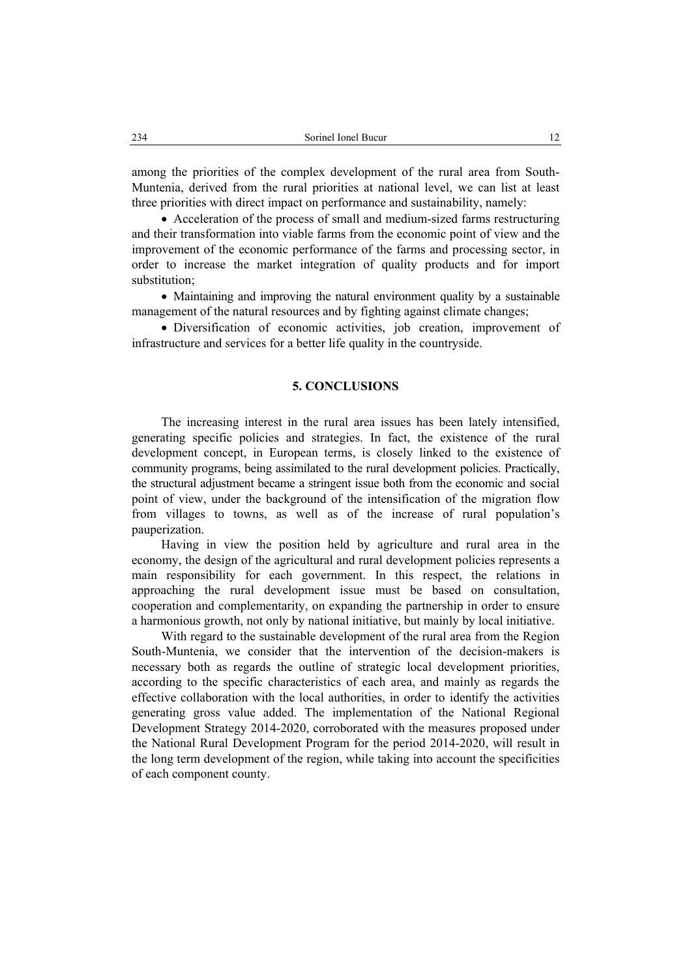among the priorities of the complex development of the rural area from South-Muntenia, derived from the rural priorities at national level, we can list at least three priorities with direct impact on performance and sustainability, namely:

• Acceleration of the process of small and medium-sized farms restructuring and their transformation into viable farms from the economic point of view and the improvement of the economic performance of the farms and processing sector, in order to increase the market integration of quality products and for import substitution;

• Maintaining and improving the natural environment quality by a sustainable management of the natural resources and by fighting against climate changes;

• Diversification of economic activities, job creation, improvement of infrastructure and services for a better life quality in the countryside.

## **5. CONCLUSIONS**

The increasing interest in the rural area issues has been lately intensified, generating specific policies and strategies. In fact, the existence of the rural development concept, in European terms, is closely linked to the existence of community programs, being assimilated to the rural development policies. Practically, the structural adjustment became a stringent issue both from the economic and social point of view, under the background of the intensification of the migration flow from villages to towns, as well as of the increase of rural population's pauperization.

Having in view the position held by agriculture and rural area in the economy, the design of the agricultural and rural development policies represents a main responsibility for each government. In this respect, the relations in approaching the rural development issue must be based on consultation, cooperation and complementarity, on expanding the partnership in order to ensure a harmonious growth, not only by national initiative, but mainly by local initiative.

With regard to the sustainable development of the rural area from the Region South-Muntenia, we consider that the intervention of the decision-makers is necessary both as regards the outline of strategic local development priorities, according to the specific characteristics of each area, and mainly as regards the effective collaboration with the local authorities, in order to identify the activities generating gross value added. The implementation of the National Regional Development Strategy 2014-2020, corroborated with the measures proposed under the National Rural Development Program for the period 2014-2020, will result in the long term development of the region, while taking into account the specificities of each component county.